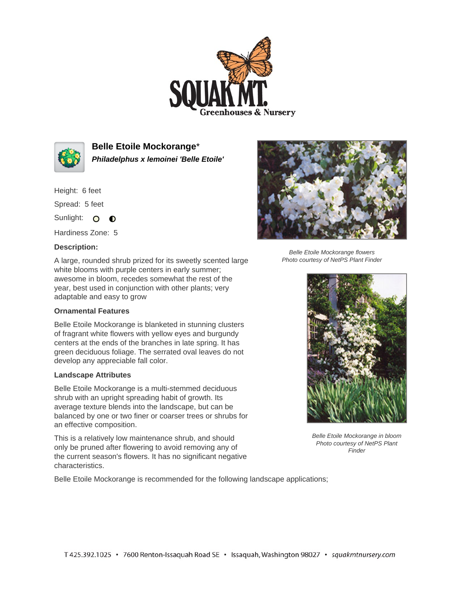



**Belle Etoile Mockorange**\* **Philadelphus x lemoinei 'Belle Etoile'**

Height: 6 feet

Spread: 5 feet

Sunlight: O **O** 

Hardiness Zone: 5

## **Description:**

Belle Etoile Mockorange flowers Photo courtesy of NetPS Plant Finder

A large, rounded shrub prized for its sweetly scented large white blooms with purple centers in early summer; awesome in bloom, recedes somewhat the rest of the year, best used in conjunction with other plants; very adaptable and easy to grow

## **Ornamental Features**

Belle Etoile Mockorange is blanketed in stunning clusters of fragrant white flowers with yellow eyes and burgundy centers at the ends of the branches in late spring. It has green deciduous foliage. The serrated oval leaves do not develop any appreciable fall color.

## **Landscape Attributes**

Belle Etoile Mockorange is a multi-stemmed deciduous shrub with an upright spreading habit of growth. Its average texture blends into the landscape, but can be balanced by one or two finer or coarser trees or shrubs for an effective composition.

This is a relatively low maintenance shrub, and should only be pruned after flowering to avoid removing any of the current season's flowers. It has no significant negative characteristics.

Belle Etoile Mockorange is recommended for the following landscape applications;



Belle Etoile Mockorange in bloom Photo courtesy of NetPS Plant Finder